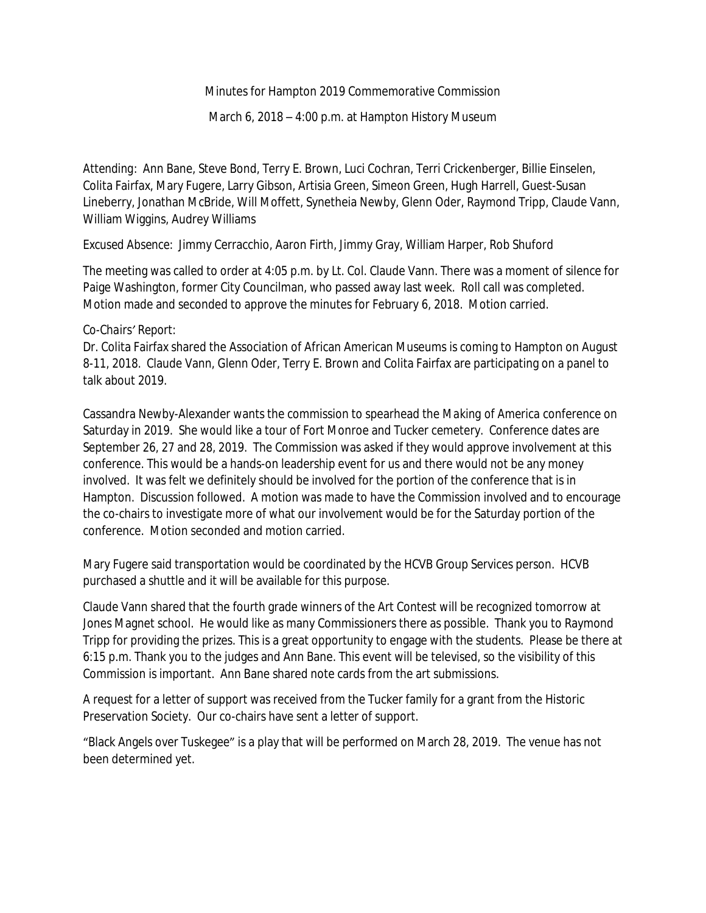#### Minutes for Hampton 2019 Commemorative Commission

March 6, 2018 – 4:00 p.m. at Hampton History Museum

*Attending*: Ann Bane, Steve Bond, Terry E. Brown, Luci Cochran, Terri Crickenberger, Billie Einselen, Colita Fairfax, Mary Fugere, Larry Gibson, Artisia Green, Simeon Green, Hugh Harrell, Guest-Susan Lineberry, Jonathan McBride, Will Moffett, Synetheia Newby, Glenn Oder, Raymond Tripp, Claude Vann, William Wiggins, Audrey Williams

*Excused Absence*: Jimmy Cerracchio, Aaron Firth, Jimmy Gray, William Harper, Rob Shuford

The meeting was called to order at 4:05 p.m. by Lt. Col. Claude Vann. There was a moment of silence for Paige Washington, former City Councilman, who passed away last week. Roll call was completed. Motion made and seconded to approve the minutes for February 6, 2018. Motion carried.

#### *Co-Chairs' Report:*

Dr. Colita Fairfax shared the Association of African American Museums is coming to Hampton on August 8-11, 2018. Claude Vann, Glenn Oder, Terry E. Brown and Colita Fairfax are participating on a panel to talk about 2019.

Cassandra Newby-Alexander wants the commission to spearhead the *Making of America* conference on Saturday in 2019. She would like a tour of Fort Monroe and Tucker cemetery. Conference dates are September 26, 27 and 28, 2019. The Commission was asked if they would approve involvement at this conference. This would be a hands-on leadership event for us and there would not be any money involved. It was felt we definitely should be involved for the portion of the conference that is in Hampton. Discussion followed. A motion was made to have the Commission involved and to encourage the co-chairs to investigate more of what our involvement would be for the Saturday portion of the conference. Motion seconded and motion carried.

Mary Fugere said transportation would be coordinated by the HCVB Group Services person. HCVB purchased a shuttle and it will be available for this purpose.

Claude Vann shared that the fourth grade winners of the Art Contest will be recognized tomorrow at Jones Magnet school. He would like as many Commissioners there as possible. Thank you to Raymond Tripp for providing the prizes. This is a great opportunity to engage with the students. Please be there at 6:15 p.m. Thank you to the judges and Ann Bane. This event will be televised, so the visibility of this Commission is important. Ann Bane shared note cards from the art submissions.

A request for a letter of support was received from the Tucker family for a grant from the Historic Preservation Society. Our co-chairs have sent a letter of support.

"Black Angels over Tuskegee" is a play that will be performed on March 28, 2019. The venue has not been determined yet.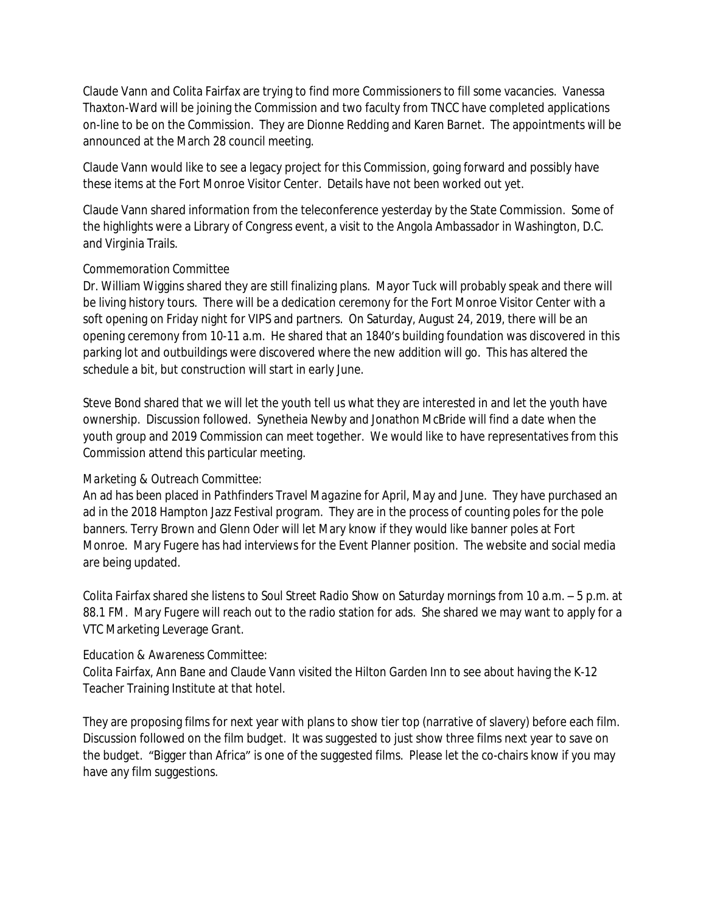Claude Vann and Colita Fairfax are trying to find more Commissioners to fill some vacancies. Vanessa Thaxton-Ward will be joining the Commission and two faculty from TNCC have completed applications on-line to be on the Commission. They are Dionne Redding and Karen Barnet. The appointments will be announced at the March 28 council meeting.

Claude Vann would like to see a legacy project for this Commission, going forward and possibly have these items at the Fort Monroe Visitor Center. Details have not been worked out yet.

Claude Vann shared information from the teleconference yesterday by the State Commission. Some of the highlights were a Library of Congress event, a visit to the Angola Ambassador in Washington, D.C. and Virginia Trails.

# *Commemoration Committee*

Dr. William Wiggins shared they are still finalizing plans. Mayor Tuck will probably speak and there will be living history tours. There will be a dedication ceremony for the Fort Monroe Visitor Center with a soft opening on Friday night for VIPS and partners. On Saturday, August 24, 2019, there will be an opening ceremony from 10-11 a.m. He shared that an 1840's building foundation was discovered in this parking lot and outbuildings were discovered where the new addition will go. This has altered the schedule a bit, but construction will start in early June.

Steve Bond shared that we will let the youth tell us what they are interested in and let the youth have ownership. Discussion followed. Synetheia Newby and Jonathon McBride will find a date when the youth group and 2019 Commission can meet together. We would like to have representatives from this Commission attend this particular meeting.

# *Marketing & Outreach Committee:*

An ad has been placed in *Pathfinders Travel Magazine* for April, May and June. They have purchased an ad in the 2018 Hampton Jazz Festival program. They are in the process of counting poles for the pole banners. Terry Brown and Glenn Oder will let Mary know if they would like banner poles at Fort Monroe. Mary Fugere has had interviews for the Event Planner position. The website and social media are being updated.

Colita Fairfax shared she listens to *Soul Street Radio Show* on Saturday mornings from 10 a.m. – 5 p.m. at 88.1 FM. Mary Fugere will reach out to the radio station for ads. She shared we may want to apply for a VTC Marketing Leverage Grant.

# *Education & Awareness Committee:*

Colita Fairfax, Ann Bane and Claude Vann visited the Hilton Garden Inn to see about having the K-12 Teacher Training Institute at that hotel.

They are proposing films for next year with plans to show tier top (narrative of slavery) before each film. Discussion followed on the film budget. It was suggested to just show three films next year to save on the budget. "Bigger than Africa" is one of the suggested films. Please let the co-chairs know if you may have any film suggestions.